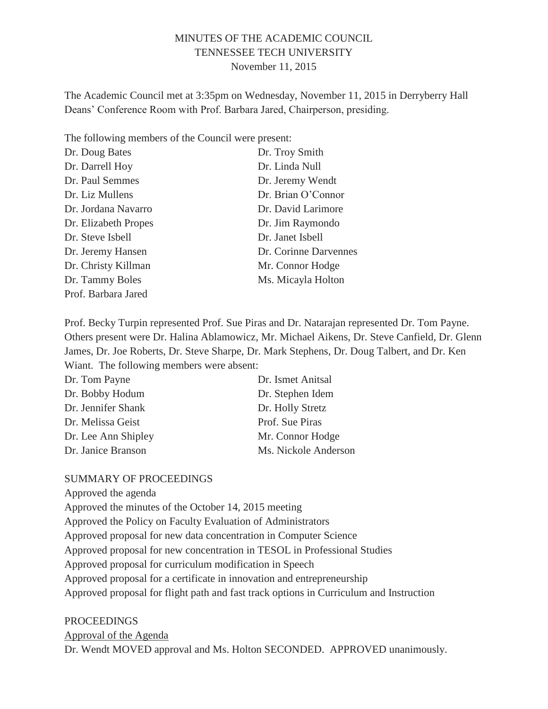# MINUTES OF THE ACADEMIC COUNCIL TENNESSEE TECH UNIVERSITY November 11, 2015

The Academic Council met at 3:35pm on Wednesday, November 11, 2015 in Derryberry Hall Deans' Conference Room with Prof. Barbara Jared, Chairperson, presiding.

| The following members of the Council were present: |                       |
|----------------------------------------------------|-----------------------|
| Dr. Doug Bates                                     | Dr. Troy Smith        |
| Dr. Darrell Hoy                                    | Dr. Linda Null        |
| Dr. Paul Semmes                                    | Dr. Jeremy Wendt      |
| Dr. Liz Mullens                                    | Dr. Brian O'Connor    |
| Dr. Jordana Navarro                                | Dr. David Larimore    |
| Dr. Elizabeth Propes                               | Dr. Jim Raymondo      |
| Dr. Steve Isbell                                   | Dr. Janet Isbell      |
| Dr. Jeremy Hansen                                  | Dr. Corinne Darvennes |
| Dr. Christy Killman                                | Mr. Connor Hodge      |
| Dr. Tammy Boles                                    | Ms. Micayla Holton    |
| Prof. Barbara Jared                                |                       |

Prof. Becky Turpin represented Prof. Sue Piras and Dr. Natarajan represented Dr. Tom Payne. Others present were Dr. Halina Ablamowicz, Mr. Michael Aikens, Dr. Steve Canfield, Dr. Glenn James, Dr. Joe Roberts, Dr. Steve Sharpe, Dr. Mark Stephens, Dr. Doug Talbert, and Dr. Ken Wiant. The following members were absent:

| Dr. Tom Payne       | Dr. Ismet Anitsal    |
|---------------------|----------------------|
| Dr. Bobby Hodum     | Dr. Stephen Idem     |
| Dr. Jennifer Shank  | Dr. Holly Stretz     |
| Dr. Melissa Geist   | Prof. Sue Piras      |
| Dr. Lee Ann Shipley | Mr. Connor Hodge     |
| Dr. Janice Branson  | Ms. Nickole Anderson |

#### SUMMARY OF PROCEEDINGS

Approved the agenda

Approved the minutes of the October 14, 2015 meeting Approved the Policy on Faculty Evaluation of Administrators Approved proposal for new data concentration in Computer Science Approved proposal for new concentration in TESOL in Professional Studies Approved proposal for curriculum modification in Speech Approved proposal for a certificate in innovation and entrepreneurship Approved proposal for flight path and fast track options in Curriculum and Instruction

#### PROCEEDINGS

#### Approval of the Agenda

Dr. Wendt MOVED approval and Ms. Holton SECONDED. APPROVED unanimously.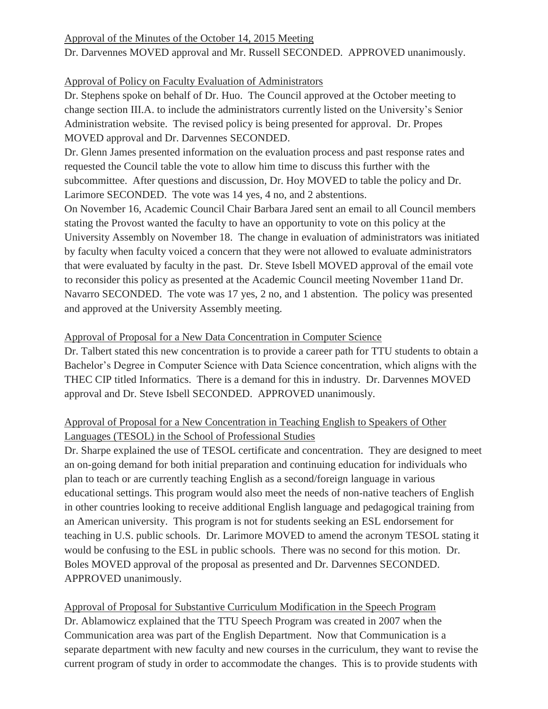# Approval of the Minutes of the October 14, 2015 Meeting

Dr. Darvennes MOVED approval and Mr. Russell SECONDED. APPROVED unanimously.

# Approval of Policy on Faculty Evaluation of Administrators

Dr. Stephens spoke on behalf of Dr. Huo. The Council approved at the October meeting to change section III.A. to include the administrators currently listed on the University's Senior Administration website. The revised policy is being presented for approval. Dr. Propes MOVED approval and Dr. Darvennes SECONDED.

Dr. Glenn James presented information on the evaluation process and past response rates and requested the Council table the vote to allow him time to discuss this further with the subcommittee. After questions and discussion, Dr. Hoy MOVED to table the policy and Dr. Larimore SECONDED. The vote was 14 yes, 4 no, and 2 abstentions.

On November 16, Academic Council Chair Barbara Jared sent an email to all Council members stating the Provost wanted the faculty to have an opportunity to vote on this policy at the University Assembly on November 18. The change in evaluation of administrators was initiated by faculty when faculty voiced a concern that they were not allowed to evaluate administrators that were evaluated by faculty in the past. Dr. Steve Isbell MOVED approval of the email vote to reconsider this policy as presented at the Academic Council meeting November 11and Dr. Navarro SECONDED. The vote was 17 yes, 2 no, and 1 abstention. The policy was presented and approved at the University Assembly meeting.

# Approval of Proposal for a New Data Concentration in Computer Science

Dr. Talbert stated this new concentration is to provide a career path for TTU students to obtain a Bachelor's Degree in Computer Science with Data Science concentration, which aligns with the THEC CIP titled Informatics. There is a demand for this in industry. Dr. Darvennes MOVED approval and Dr. Steve Isbell SECONDED. APPROVED unanimously.

# Approval of Proposal for a New Concentration in Teaching English to Speakers of Other Languages (TESOL) in the School of Professional Studies

Dr. Sharpe explained the use of TESOL certificate and concentration. They are designed to meet an on-going demand for both initial preparation and continuing education for individuals who plan to teach or are currently teaching English as a second/foreign language in various educational settings. This program would also meet the needs of non-native teachers of English in other countries looking to receive additional English language and pedagogical training from an American university. This program is not for students seeking an ESL endorsement for teaching in U.S. public schools. Dr. Larimore MOVED to amend the acronym TESOL stating it would be confusing to the ESL in public schools. There was no second for this motion. Dr. Boles MOVED approval of the proposal as presented and Dr. Darvennes SECONDED. APPROVED unanimously.

Approval of Proposal for Substantive Curriculum Modification in the Speech Program Dr. Ablamowicz explained that the TTU Speech Program was created in 2007 when the Communication area was part of the English Department. Now that Communication is a separate department with new faculty and new courses in the curriculum, they want to revise the current program of study in order to accommodate the changes. This is to provide students with